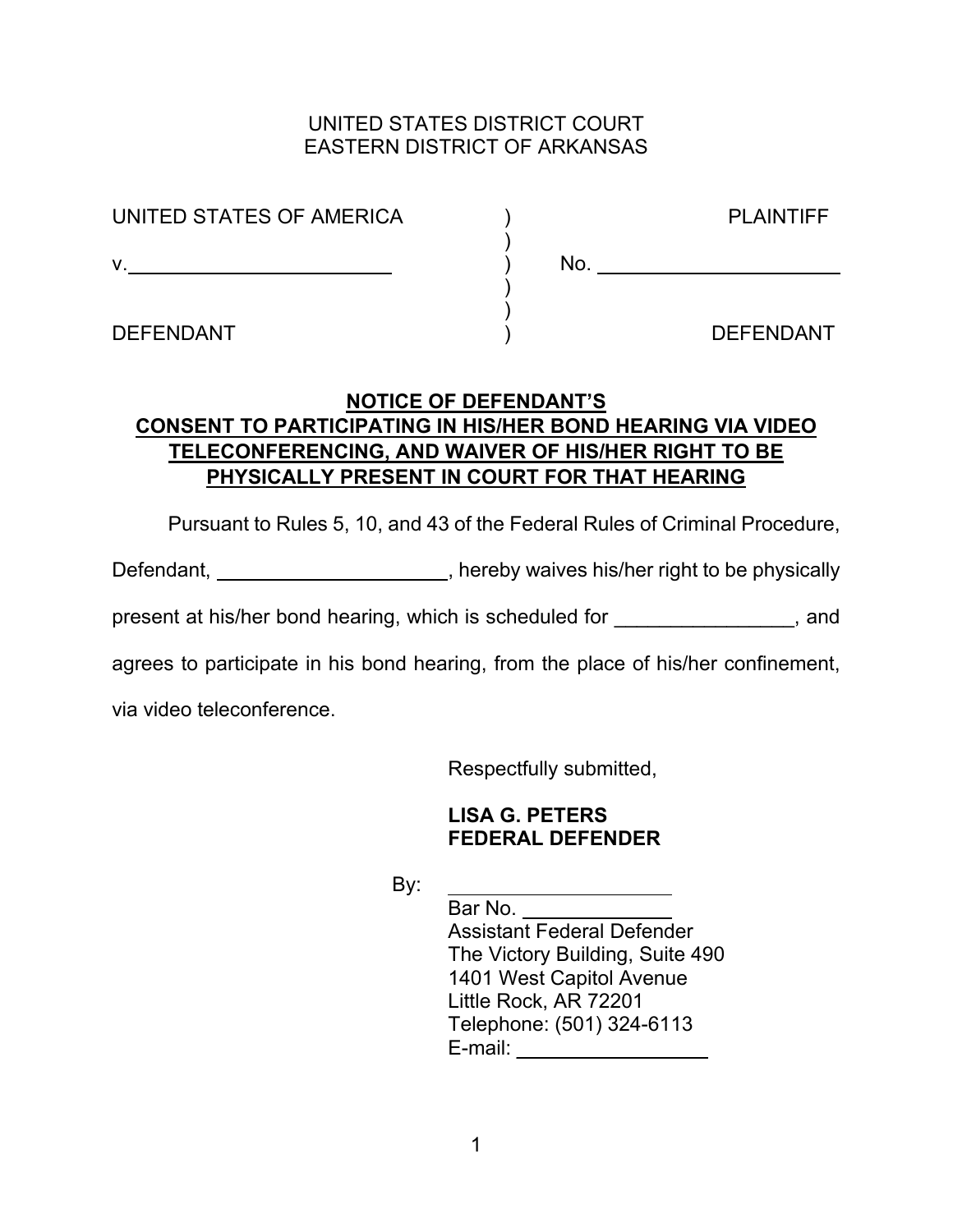## UNITED STATES DISTRICT COURT EASTERN DISTRICT OF ARKANSAS

| UNITED STATES OF AMERICA |     |
|--------------------------|-----|
| v                        | No. |
|                          |     |
|                          |     |

DEFENDANT ) DEFENDANT

**PLAINTIFF** 

## **NOTICE OF DEFENDANT'S CONSENT TO PARTICIPATING IN HIS/HER BOND HEARING VIA VIDEO TELECONFERENCING, AND WAIVER OF HIS/HER RIGHT TO BE PHYSICALLY PRESENT IN COURT FOR THAT HEARING**

Pursuant to Rules 5, 10, and 43 of the Federal Rules of Criminal Procedure,

Defendant, \_\_\_\_\_\_\_\_\_\_\_\_\_\_\_\_\_\_\_\_\_\_, hereby waives his/her right to be physically

present at his/her bond hearing, which is scheduled for  $\qquad \qquad$ , and

agrees to participate in his bond hearing, from the place of his/her confinement,

via video teleconference.

Respectfully submitted,

## **LISA G. PETERS FEDERAL DEFENDER**

By:

 Bar No. Assistant Federal Defender The Victory Building, Suite 490 1401 West Capitol Avenue Little Rock, AR 72201 Telephone: (501) 324-6113 E-mail: **E**-mail: